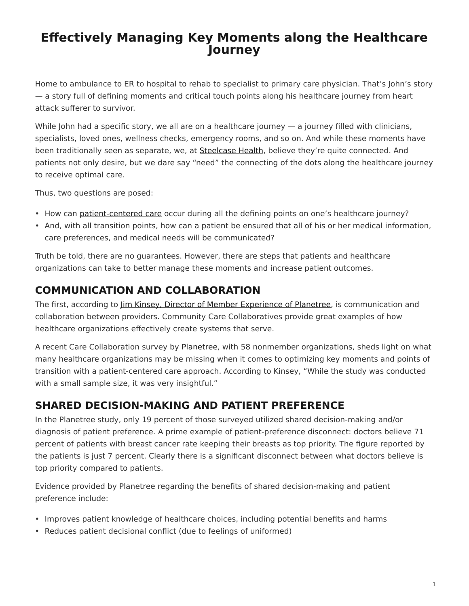# <span id="page-0-0"></span>**Effectively Managing Key Moments along the Healthcare Journey**

Home to ambulance to ER to hospital to rehab to specialist to primary care physician. That's John's story — a story full of defining moments and critical touch points along his healthcare journey from heart attack sufferer to survivor.

While John had a specific story, we all are on a healthcare journey — a journey filled with clinicians, specialists, loved ones, wellness checks, emergency rooms, and so on. And while these moments have been traditionally seen as separate, we, at [Steelcase Health,](https://www.steelcase.com/discover/information/health/) believe they're quite connected. And patients not only desire, but we dare say "need" the connecting of the dots along the healthcare journey to receive optimal care.

Thus, two questions are posed:

- How can [patient-centered care](http://planetree.org/wp-content/uploads/2012/01/Patient-Centered-Care-Improvement-Guide-10-28-09-Final.pdf) occur during all the defining points on one's healthcare journey?
- And, with all transition points, how can a patient be ensured that all of his or her medical information, care preferences, and medical needs will be communicated?

Truth be told, there are no guarantees. However, there are steps that patients and healthcare organizations can take to better manage these moments and increase patient outcomes.

## **COMMUNICATION AND COLLABORATION**

The first, according to [Jim Kinsey, Director of Member Experience of Planetree](http://planetree.org/wp-content/uploads/2011/12/Jim-Kinsey-2012.pdf), is communication and collaboration between providers. Community Care Collaboratives provide great examples of how healthcare organizations effectively create systems that serve.

A recent Care Collaboration survey by [Planetree](http://planetree.org/), with 58 nonmember organizations, sheds light on what many healthcare organizations may be missing when it comes to optimizing key moments and points of transition with a patient-centered care approach. According to Kinsey, "While the study was conducted with a small sample size, it was very insightful."

## **SHARED DECISION-MAKING AND PATIENT PREFERENCE**

In the Planetree study, only 19 percent of those surveyed utilized shared decision-making and/or diagnosis of patient preference. A prime example of patient-preference disconnect: doctors believe 71 percent of patients with breast cancer rate keeping their breasts as top priority. The figure reported by the patients is just 7 percent. Clearly there is a significant disconnect between what doctors believe is top priority compared to patients.

Evidence provided by Planetree regarding the benefits of shared decision-making and patient preference include:

- Improves patient knowledge of healthcare choices, including potential benefits and harms
- Reduces patient decisional conflict (due to feelings of uniformed)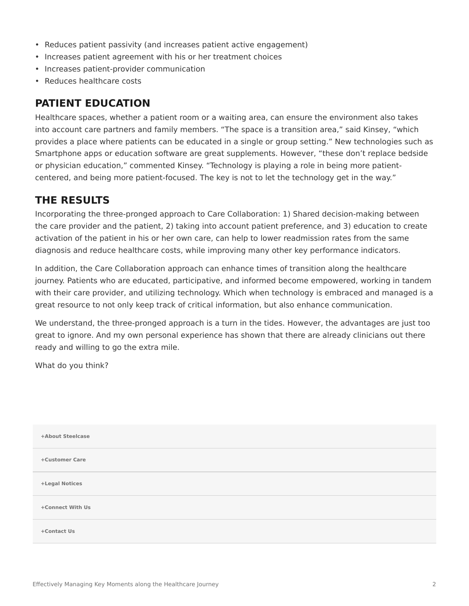- Reduces patient passivity (and increases patient active engagement)
- Increases patient agreement with his or her treatment choices
- Increases patient-provider communication
- Reduces healthcare costs

#### **PATIENT EDUCATION**

Healthcare spaces, whether a patient room or a waiting area, can ensure the environment also takes into account care partners and family members. "The space is a transition area," said Kinsey, "which provides a place where patients can be educated in a single or group setting." New technologies such as Smartphone apps or education software are great supplements. However, "these don't replace bedside or physician education," commented Kinsey. "Technology is playing a role in being more patientcentered, and being more patient-focused. The key is not to let the technology get in the way."

### **THE RESULTS**

Incorporating the three-pronged approach to Care Collaboration: 1) Shared decision-making between the care provider and the patient, 2) taking into account patient preference, and 3) education to create activation of the patient in his or her own care, can help to lower readmission rates from the same diagnosis and reduce healthcare costs, while improving many other key performance indicators.

In addition, the Care Collaboration approach can enhance times of transition along the healthcare journey. Patients who are educated, participative, and informed become empowered, working in tandem with their care provider, and utilizing technology. Which when technology is embraced and managed is a great resource to not only keep track of critical information, but also enhance communication.

We understand, the three-pronged approach is a turn in the tides. However, the advantages are just too great to ignore. And my own personal experience has shown that there are already clinicians out there ready and willing to go the extra mile.

What do you think?

| +About Steelcase |  |
|------------------|--|
| +Customer Care   |  |
| +Legal Notices   |  |
| +Connect With Us |  |
| +Contact Us      |  |